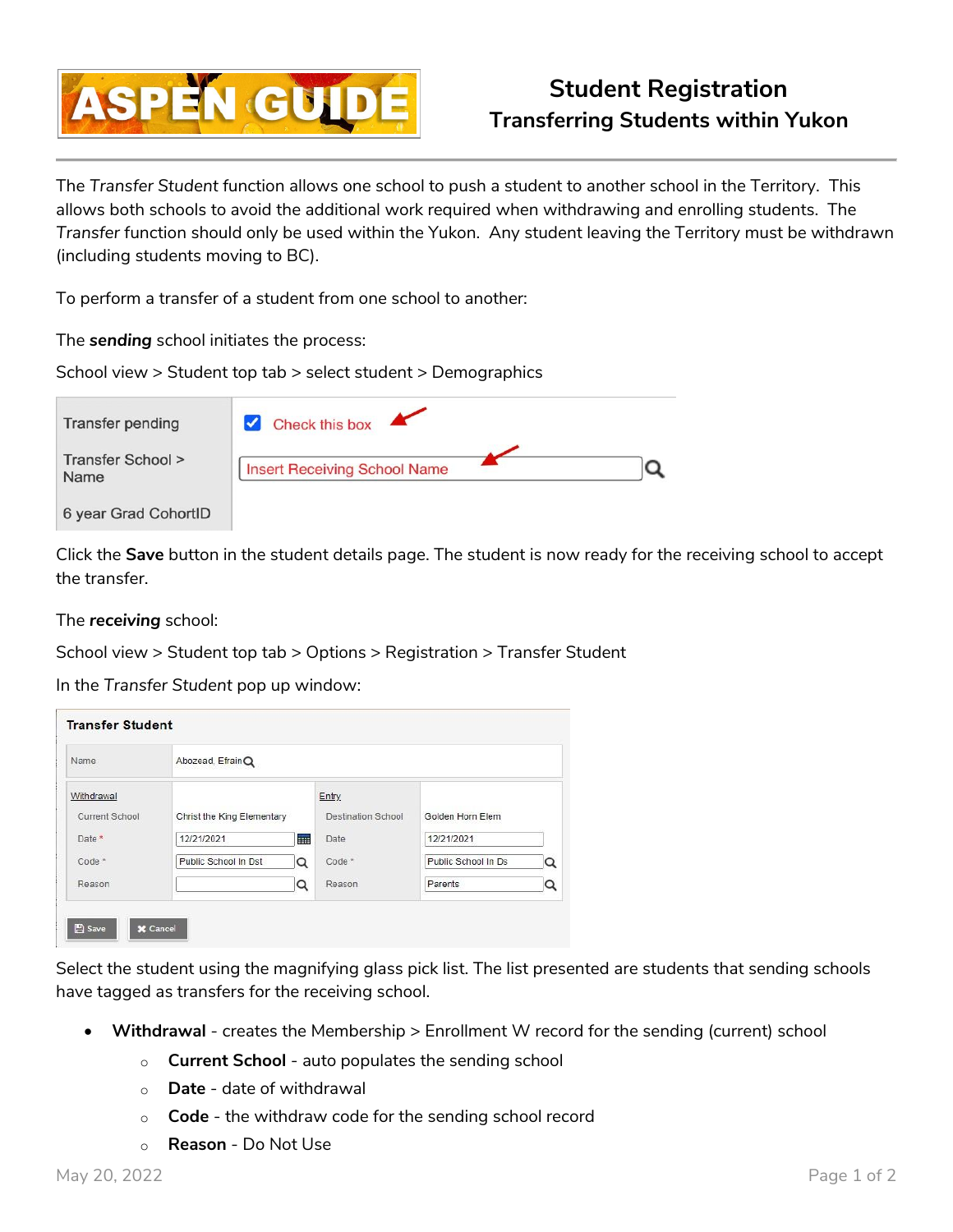

The *Transfer Student* function allows one school to push a student to another school in the Territory. This allows both schools to avoid the additional work required when withdrawing and enrolling students. The *Transfer* function should only be used within the Yukon. Any student leaving the Territory must be withdrawn (including students moving to BC).

To perform a transfer of a student from one school to another:

The *sending* school initiates the process:

School view > Student top tab > select student > Demographics

| Transfer pending          | Check this box                      |  |
|---------------------------|-------------------------------------|--|
| Transfer School ><br>Name | <b>Insert Receiving School Name</b> |  |
| 6 year Grad CohortID      |                                     |  |

Click the **Save** button in the student details page. The student is now ready for the receiving school to accept the transfer.

The *receiving* school:

School view > Student top tab > Options > Registration > Transfer Student

In the *Transfer Student* pop up window:

| Name                         | Abozead, EfrainQ           |     |                                           |                     |   |  |  |
|------------------------------|----------------------------|-----|-------------------------------------------|---------------------|---|--|--|
| Withdrawal<br>Current School | Christ the King Elementary |     | <b>Entry</b><br><b>Destination School</b> | Golden Horn Elem    |   |  |  |
| Date *                       | 12/21/2021                 | HH: | Date                                      | 12/21/2021          |   |  |  |
| $Code*$                      | Public School In Dst       | Q   | Code <sup>*</sup>                         | Public School In Ds | Q |  |  |
| Reason                       |                            | Q   | Reason                                    | Parents             | Q |  |  |

Select the student using the magnifying glass pick list. The list presented are students that sending schools have tagged as transfers for the receiving school.

- **Withdrawal** creates the Membership > Enrollment W record for the sending (current) school
	- o **Current School** auto populates the sending school
	- o **Date** date of withdrawal
	- o **Code** the withdraw code for the sending school record
	- o **Reason** Do Not Use